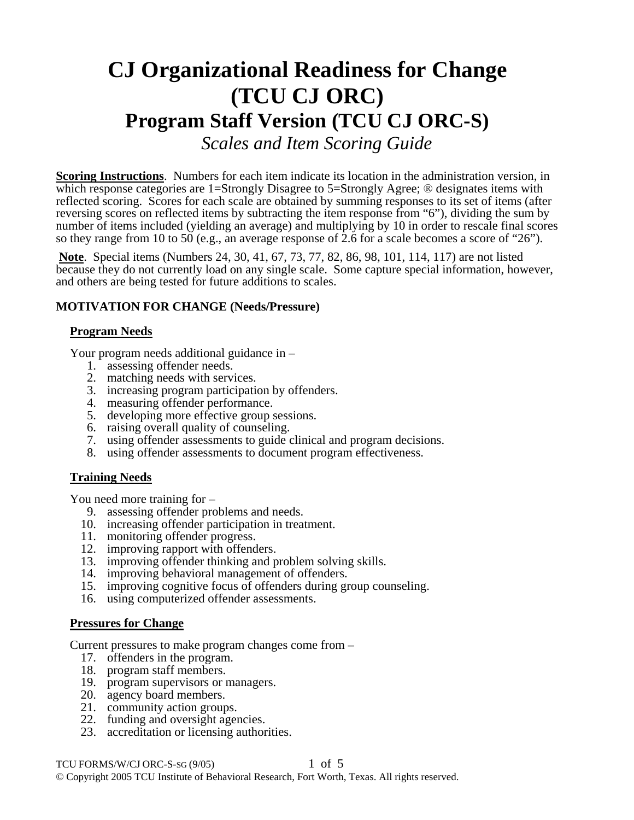# **CJ Organizational Readiness for Change (TCU CJ ORC) Program Staff Version (TCU CJ ORC-S)**  *Scales and Item Scoring Guide*

**Scoring Instructions**. Numbers for each item indicate its location in the administration version, in which response categories are 1=Strongly Disagree to 5=Strongly Agree; <sup>®</sup> designates items with reflected scoring. Scores for each scale are obtained by summing responses to its set of items (after reversing scores on reflected items by subtracting the item response from "6"), dividing the sum by number of items included (yielding an average) and multiplying by 10 in order to rescale final scores so they range from 10 to 50 (e.g., an average response of 2.6 for a scale becomes a score of "26").

**Note**. Special items (Numbers 24, 30, 41, 67, 73, 77, 82, 86, 98, 101, 114, 117) are not listed because they do not currently load on any single scale. Some capture special information, however, and others are being tested for future additions to scales.

## **MOTIVATION FOR CHANGE (Needs/Pressure)**

#### **Program Needs**

Your program needs additional guidance in –

- 1. assessing offender needs.
- 2. matching needs with services.
- 3. increasing program participation by offenders.
- 4. measuring offender performance.
- 5. developing more effective group sessions.
- 6. raising overall quality of counseling.
- 7. using offender assessments to guide clinical and program decisions.
- 8. using offender assessments to document program effectiveness.

## **Training Needs**

You need more training for –

- 9. assessing offender problems and needs.
- 10. increasing offender participation in treatment.
- 11. monitoring offender progress.
- 12. improving rapport with offenders.
- 13. improving offender thinking and problem solving skills.
- 14. improving behavioral management of offenders.
- 15. improving cognitive focus of offenders during group counseling.
- 16. using computerized offender assessments.

## **Pressures for Change**

Current pressures to make program changes come from –

- 17. offenders in the program.
- 18. program staff members.
- 19. program supervisors or managers.
- 20. agency board members.
	- 21. community action groups.
	- 22. funding and oversight agencies.
	- 23. accreditation or licensing authorities.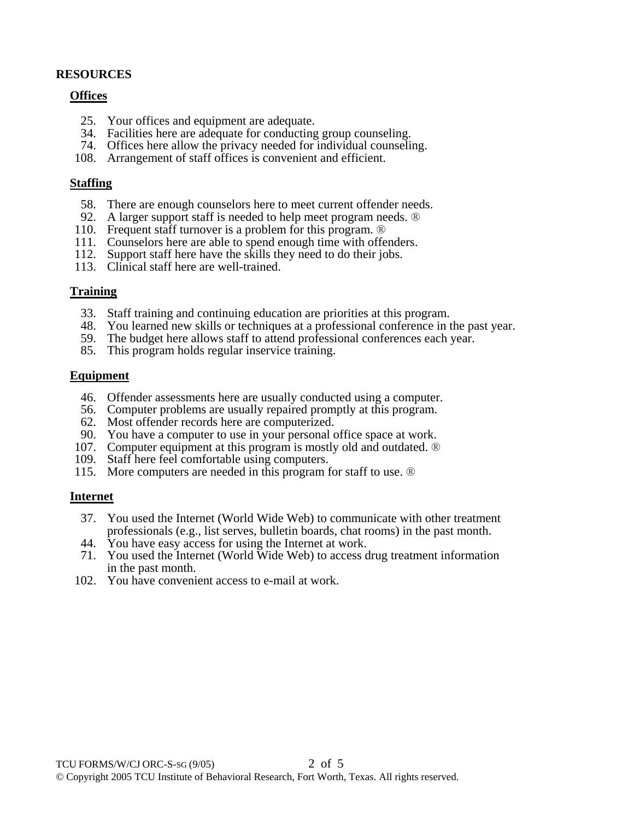# **RESOURCES**

#### **Offices**

- 25. Your offices and equipment are adequate.
- 34. Facilities here are adequate for conducting group counseling.
- 74. Offices here allow the privacy needed for individual counseling.
- 108. Arrangement of staff offices is convenient and efficient.

#### **Staffing**

- 58. There are enough counselors here to meet current offender needs.
- 92. A larger support staff is needed to help meet program needs. ®
- 110. Frequent staff turnover is a problem for this program. ®
- 111. Counselors here are able to spend enough time with offenders.
- 112. Support staff here have the skills they need to do their jobs.
- 113. Clinical staff here are well-trained.

#### **Training**

- 33. Staff training and continuing education are priorities at this program.
- 48. You learned new skills or techniques at a professional conference in the past year.
- 59. The budget here allows staff to attend professional conferences each year.
- 85. This program holds regular inservice training.

#### **Equipment**

- 46. Offender assessments here are usually conducted using a computer.
- 56. Computer problems are usually repaired promptly at this program.
- 62. Most offender records here are computerized.
- 90. You have a computer to use in your personal office space at work.
- 107. Computer equipment at this program is mostly old and outdated. ®
- 109. Staff here feel comfortable using computers.
- 115. More computers are needed in this program for staff to use. ®

## **Internet**

- 37. You used the Internet (World Wide Web) to communicate with other treatment professionals (e.g., list serves, bulletin boards, chat rooms) in the past month.
- 44. You have easy access for using the Internet at work.
- 71. You used the Internet (World Wide Web) to access drug treatment information in the past month.
- 102. You have convenient access to e-mail at work.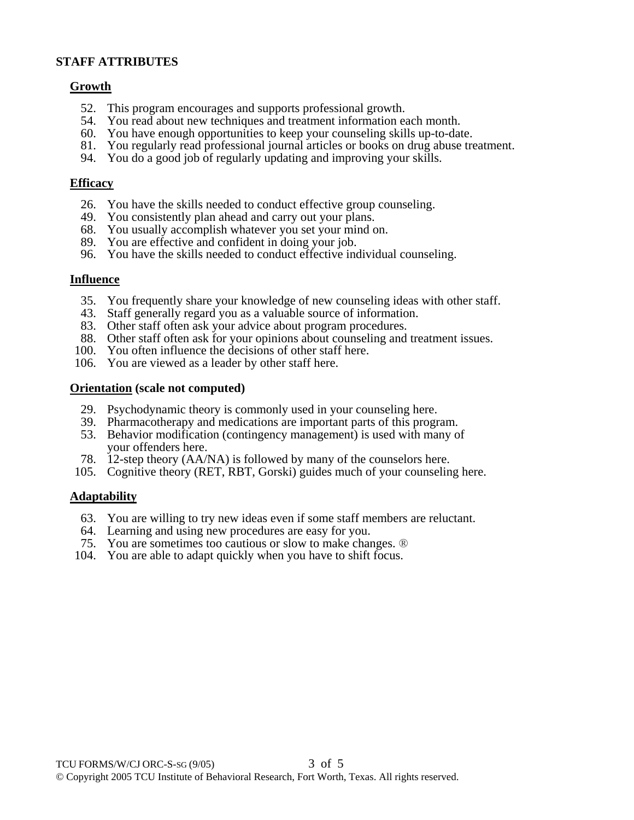## **STAFF ATTRIBUTES**

#### **Growth**

- 52. This program encourages and supports professional growth.
- 54. You read about new techniques and treatment information each month.
- 60. You have enough opportunities to keep your counseling skills up-to-date.
- 81. You regularly read professional journal articles or books on drug abuse treatment.
- 94. You do a good job of regularly updating and improving your skills.

#### **Efficacy**

- 26. You have the skills needed to conduct effective group counseling.
- 49. You consistently plan ahead and carry out your plans.
- 68. You usually accomplish whatever you set your mind on.
- 89. You are effective and confident in doing your job.
- 96. You have the skills needed to conduct effective individual counseling.

#### **Influence**

- 35. You frequently share your knowledge of new counseling ideas with other staff.
- 43. Staff generally regard you as a valuable source of information.
- 83. Other staff often ask your advice about program procedures.
- 88. Other staff often ask for your opinions about counseling and treatment issues.
- 100. You often influence the decisions of other staff here.
- 106. You are viewed as a leader by other staff here.

#### **Orientation (scale not computed)**

- 29. Psychodynamic theory is commonly used in your counseling here.
- 39. Pharmacotherapy and medications are important parts of this program.
- 53. Behavior modification (contingency management) is used with many of your offenders here.
- 78. 12-step theory (AA/NA) is followed by many of the counselors here.
- 105. Cognitive theory (RET, RBT, Gorski) guides much of your counseling here.

## **Adaptability**

- 63. You are willing to try new ideas even if some staff members are reluctant.
- 64. Learning and using new procedures are easy for you.
- 75. You are sometimes too cautious or slow to make changes. ®
- 104. You are able to adapt quickly when you have to shift focus.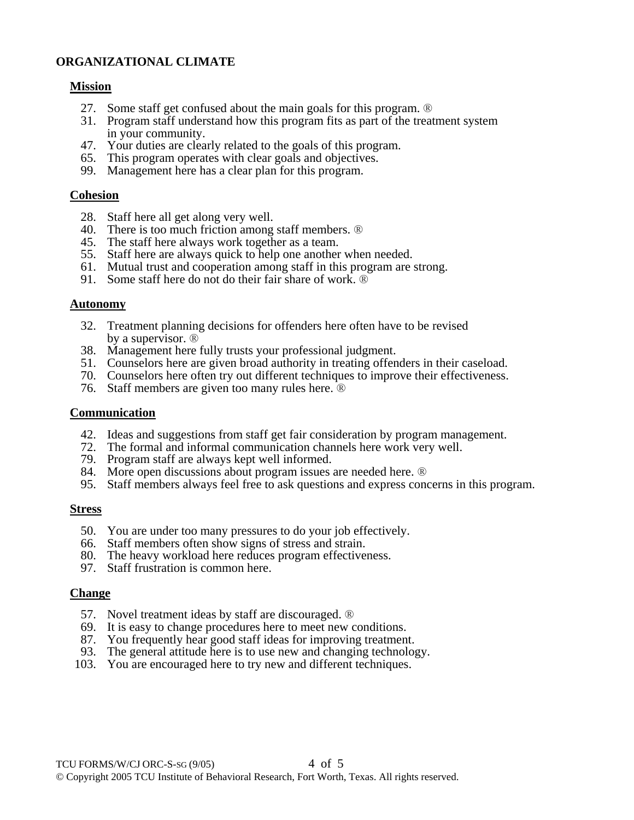# **ORGANIZATIONAL CLIMATE**

#### **Mission**

- 27. Some staff get confused about the main goals for this program. ®
- 31. Program staff understand how this program fits as part of the treatment system in your community.
- 47. Your duties are clearly related to the goals of this program.
- 65. This program operates with clear goals and objectives.
- 99. Management here has a clear plan for this program.

#### **Cohesion**

- 28. Staff here all get along very well.
- 40. There is too much friction among staff members. ®
- 45. The staff here always work together as a team.
- 55. Staff here are always quick to help one another when needed.
- 61. Mutual trust and cooperation among staff in this program are strong.
- 91. Some staff here do not do their fair share of work. ®

#### **Autonomy**

- 32. Treatment planning decisions for offenders here often have to be revised by a supervisor. ®
- 38. Management here fully trusts your professional judgment.
- 51. Counselors here are given broad authority in treating offenders in their caseload.
- 70. Counselors here often try out different techniques to improve their effectiveness.
- 76. Staff members are given too many rules here. ®

#### **Communication**

- 42. Ideas and suggestions from staff get fair consideration by program management.
- 72. The formal and informal communication channels here work very well.
- 79. Program staff are always kept well informed.
- 84. More open discussions about program issues are needed here. ®
- 95. Staff members always feel free to ask questions and express concerns in this program.

#### **Stress**

- 50. You are under too many pressures to do your job effectively.
- 66. Staff members often show signs of stress and strain.
- 80. The heavy workload here reduces program effectiveness.
- 97. Staff frustration is common here.

## **Change**

- 57. Novel treatment ideas by staff are discouraged. ®
- 69. It is easy to change procedures here to meet new conditions.
- 87. You frequently hear good staff ideas for improving treatment.
- 93. The general attitude here is to use new and changing technology.
- 103. You are encouraged here to try new and different techniques.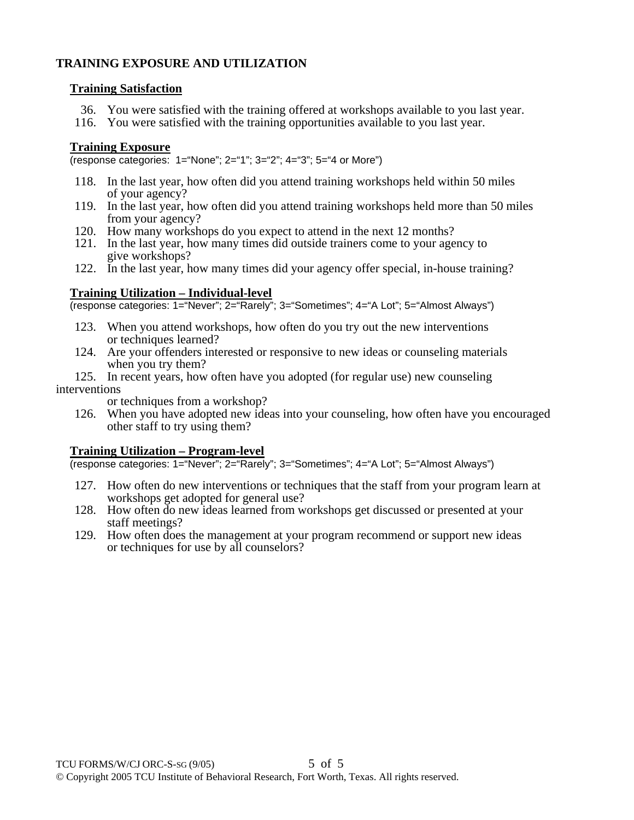# **TRAINING EXPOSURE AND UTILIZATION**

# **Training Satisfaction**

- 36. You were satisfied with the training offered at workshops available to you last year.
- 116. You were satisfied with the training opportunities available to you last year.

# **Training Exposure**

(response categories: 1="None"; 2="1"; 3="2"; 4="3"; 5="4 or More")

- 118. In the last year, how often did you attend training workshops held within 50 miles of your agency?
- 119. In the last year, how often did you attend training workshops held more than 50 miles from your agency?
- 120. How many workshops do you expect to attend in the next 12 months?
- 121. In the last year, how many times did outside trainers come to your agency to give workshops?
- 122. In the last year, how many times did your agency offer special, in-house training?

# **Training Utilization – Individual-level**

(response categories: 1="Never"; 2="Rarely"; 3="Sometimes"; 4="A Lot"; 5="Almost Always")

- 123. When you attend workshops, how often do you try out the new interventions or techniques learned?
- 124. Are your offenders interested or responsive to new ideas or counseling materials when you try them?
- 125. In recent years, how often have you adopted (for regular use) new counseling interventions

or techniques from a workshop?

 126. When you have adopted new ideas into your counseling, how often have you encouraged other staff to try using them?

# **Training Utilization – Program-level**

(response categories: 1="Never"; 2="Rarely"; 3="Sometimes"; 4="A Lot"; 5="Almost Always")

- 127. How often do new interventions or techniques that the staff from your program learn at workshops get adopted for general use?
- 128. How often do new ideas learned from workshops get discussed or presented at your staff meetings?
- 129. How often does the management at your program recommend or support new ideas or techniques for use by all counselors?